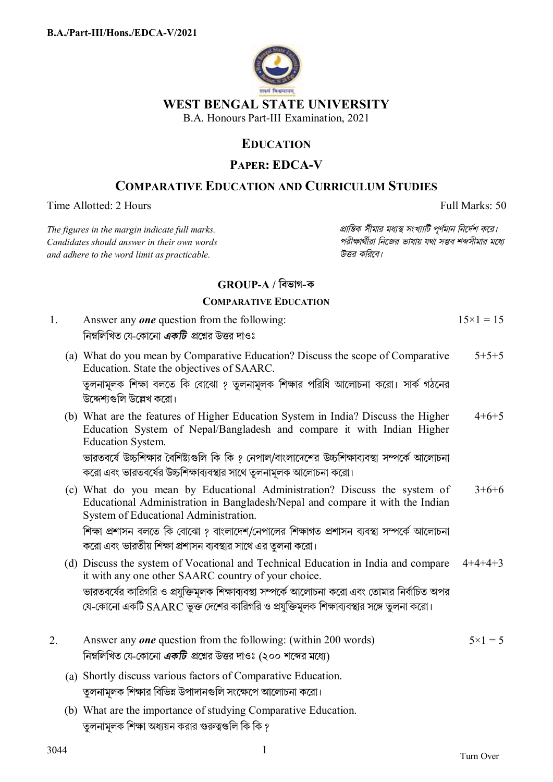

## **WEST BENGAL STATE UNIVERSITY**

B.A. Honours Part-III Examination, 2021

# **EDUCATION**

## **PAPER: EDCA-V**

# **COMPARATIVE EDUCATION AND CURRICULUM STUDIES**

Time Allotted: 2 Hours Full Marks: 50

 $C$ *andidates should answer in their own words and adhere to the word limit as practicable. উtর কিরেব।*

*The figures in the margin indicate full marks. pািnক সীমার মধ°s সংখ°ািট পূণমান িনেদশ কের।*

### **GROUP-A / িবভাগ-ক**

#### **COMPARATIVE EDUCATION**

|    | <b>COMPARATIVE EDUCATION</b>                                                                                                                                                                        |                    |
|----|-----------------------------------------------------------------------------------------------------------------------------------------------------------------------------------------------------|--------------------|
| 1. | Answer any <b>one</b> question from the following:<br>নিম্নলিখিত যে-কোনো <i>একটি প্র</i> শ্নের উত্তর দাওঃ                                                                                           | $15 \times 1 = 15$ |
|    | (a) What do you mean by Comparative Education? Discuss the scope of Comparative<br>Education. State the objectives of SAARC.                                                                        | $5+5+5$            |
|    | তুলনামূলক শিক্ষা বলতে কি বোঝো ? তুলনামূলক শিক্ষার পরিধি আলোচনা করো। সার্ক গঠনের<br>উদ্দেশ্যগুলি উল্লেখ করো।                                                                                         |                    |
|    | (b) What are the features of Higher Education System in India? Discuss the Higher<br>Education System of Nepal/Bangladesh and compare it with Indian Higher<br><b>Education System.</b>             | $4+6+5$            |
|    | ভারতবর্ষে উচ্চশিক্ষার বৈশিষ্ট্যগুলি কি কি ? নেপাল/বাংলাদেশের উচ্চশিক্ষাব্যবস্থা সম্পর্কে আলোচনা<br>করো এবং ভারতবর্ষের উচ্চশিক্ষাব্যবস্থার সাথে তুলনামূলক আলোচনা করো।                                |                    |
|    | (c) What do you mean by Educational Administration? Discuss the system of<br>Educational Administration in Bangladesh/Nepal and compare it with the Indian<br>System of Educational Administration. | $3+6+6$            |
|    | শিক্ষা প্রশাসন বলতে কি বোঝো ? বাংলাদেশ/নেপালের শিক্ষাগত প্রশাসন ব্যবস্থা সম্পর্কে আলোচনা<br>করো এবং ভারতীয় শিক্ষা প্রশাসন ব্যবস্থার সাথে এর তুলনা করো।                                             |                    |
|    | (d) Discuss the system of Vocational and Technical Education in India and compare<br>it with any one other SAARC country of your choice.                                                            | $4+4+4+3$          |
|    | ভারতবর্ষের কারিগরি ও প্রযুক্তিমূলক শিক্ষাব্যবস্থা সম্পর্কে আলোচনা করো এবং তোমার নির্বাচিত অপর<br>যে-কোনো একটি SAARC ভুক্ত দেশের কারিগরি ও প্রযুক্তিমূলক শিক্ষাব্যবস্থার সঙ্গে তুলনা করো।            |                    |
| 2. | Answer any <i>one</i> question from the following: (within 200 words)                                                                                                                               | $5 \times 1 = 5$   |

(a) Shortly discuss various factors of Comparative Education. তুলনামূলক শিক্ষার বিভিন্ন উপাদানগুলি সংক্ষেপে আলোচনা করো।

নিম্নলিখিত যে-কোনো *একটি প্র*শ্নের উত্তর দাওঃ (২০০ শব্দের মধ্যে)

(b) What are the importance of studying Comparative Education. তুলনামূলক শিক্ষা অধ্যয়ন করার গুরুত্বগুলি কি কি ?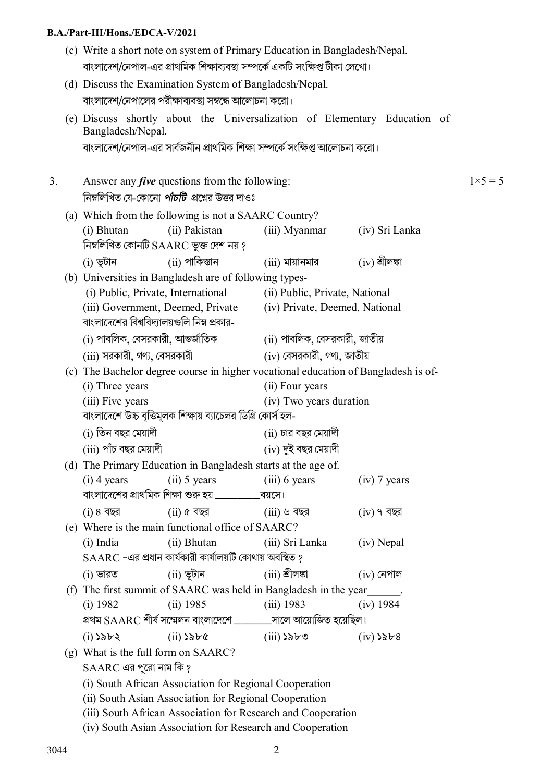| (c) Write a short note on system of Primary Education in Bangladesh/Nepal.<br>বাংলাদেশ/নেপাল-এর প্রাথমিক শিক্ষাব্যবস্থা সম্পর্কে একটি সংক্ষিপ্ত টীকা লেখো। |                                                                                    |                                                                                  |                                                                                                               |                                                                            |                                                                           |               |
|------------------------------------------------------------------------------------------------------------------------------------------------------------|------------------------------------------------------------------------------------|----------------------------------------------------------------------------------|---------------------------------------------------------------------------------------------------------------|----------------------------------------------------------------------------|---------------------------------------------------------------------------|---------------|
|                                                                                                                                                            |                                                                                    |                                                                                  | (d) Discuss the Examination System of Bangladesh/Nepal.                                                       |                                                                            |                                                                           |               |
|                                                                                                                                                            |                                                                                    |                                                                                  | বাংলাদেশ/নেপালের পরীক্ষাব্যবস্থা সম্বন্ধে আলোচনা করো।                                                         |                                                                            |                                                                           |               |
|                                                                                                                                                            |                                                                                    | Bangladesh/Nepal.                                                                |                                                                                                               |                                                                            | (e) Discuss shortly about the Universalization of Elementary Education of |               |
|                                                                                                                                                            |                                                                                    |                                                                                  |                                                                                                               | বাংলাদেশ/নেপাল-এর সার্বজনীন প্রাথমিক শিক্ষা সম্পর্কে সংক্ষিপ্ত আলোচনা করো। |                                                                           |               |
| 3.                                                                                                                                                         |                                                                                    |                                                                                  | Answer any <i>five</i> questions from the following:<br>নিম্নলিখিত যে-কোনো <i>পাঁচটি প্র</i> শ্নের উত্তর দাওঃ |                                                                            |                                                                           | $1\times 5=5$ |
|                                                                                                                                                            | (a) Which from the following is not a SAARC Country?                               |                                                                                  |                                                                                                               |                                                                            |                                                                           |               |
|                                                                                                                                                            |                                                                                    | (i) Bhutan                                                                       | (ii) Pakistan<br>নিম্নলিখিত কোনটি SAARC ভুক্ত দেশ নয় ?                                                       | (iii) Myanmar                                                              | (iv) Sri Lanka                                                            |               |
|                                                                                                                                                            |                                                                                    | (i) ভূটান                                                                        | (ii) পাকিস্তান                                                                                                | $(iii)$ মায়ানমার                                                          | $(iv)$ শ্ৰীলঙ্কা                                                          |               |
|                                                                                                                                                            |                                                                                    |                                                                                  | (b) Universities in Bangladesh are of following types-                                                        |                                                                            |                                                                           |               |
|                                                                                                                                                            |                                                                                    | (i) Public, Private, International                                               |                                                                                                               | (ii) Public, Private, National                                             |                                                                           |               |
|                                                                                                                                                            |                                                                                    | (iii) Government, Deemed, Private<br>বাংলাদেশের বিশ্ববিদ্যালয়গুলি নিম্ন প্রকার- |                                                                                                               | (iv) Private, Deemed, National                                             |                                                                           |               |
|                                                                                                                                                            |                                                                                    | (i) পাবলিক, বেসরকারী, আন্তর্জাতিক                                                |                                                                                                               | (ii) পাবলিক, বেসরকারী, জাতীয়                                              |                                                                           |               |
|                                                                                                                                                            |                                                                                    | (iii) সরকারী, গণ্য, বেসরকারী                                                     |                                                                                                               | (iv) বেসরকারী, গণ্য, জাতীয়                                                |                                                                           |               |
|                                                                                                                                                            | (c) The Bachelor degree course in higher vocational education of Bangladesh is of- |                                                                                  |                                                                                                               |                                                                            |                                                                           |               |
|                                                                                                                                                            |                                                                                    | (i) Three years                                                                  |                                                                                                               | (ii) Four years                                                            |                                                                           |               |
|                                                                                                                                                            |                                                                                    | (iii) Five years                                                                 |                                                                                                               | (iv) Two years duration                                                    |                                                                           |               |
|                                                                                                                                                            |                                                                                    | বাংলাদেশে উচ্চ বৃত্তিমূলক শিক্ষায় ব্যাচেলর ডিগ্রি কোর্স হল-                     |                                                                                                               |                                                                            |                                                                           |               |
|                                                                                                                                                            |                                                                                    | (i) তিন বছর মেয়াদী                                                              |                                                                                                               | (ii) চার বছর মেয়াদী                                                       |                                                                           |               |
|                                                                                                                                                            |                                                                                    | (iii) পাঁচ বছর মেয়াদী                                                           |                                                                                                               | (iv) দুই বছর মেয়াদী                                                       |                                                                           |               |
|                                                                                                                                                            | (d) The Primary Education in Bangladesh starts at the age of.                      |                                                                                  |                                                                                                               |                                                                            |                                                                           |               |
|                                                                                                                                                            |                                                                                    | $(i)$ 4 years                                                                    | $(ii) 5 years$ $(iii) 6 years$                                                                                |                                                                            | $(iv)$ 7 years                                                            |               |
|                                                                                                                                                            |                                                                                    |                                                                                  | বাংলাদেশের প্রাথমিক শিক্ষা শুরু হয় ____________বয়সে।                                                        |                                                                            |                                                                           |               |
|                                                                                                                                                            |                                                                                    | (i) 8 35                                                                         | $(ii)$ ৫ বছর                                                                                                  | $(iii)$ ৬ বছর                                                              | $(iv)$ ৭ বছর                                                              |               |
|                                                                                                                                                            |                                                                                    |                                                                                  | (e) Where is the main functional office of SAARC?                                                             |                                                                            |                                                                           |               |
|                                                                                                                                                            |                                                                                    | (i) India                                                                        | (ii) Bhutan                                                                                                   | (iii) Sri Lanka                                                            | (iv) Nepal                                                                |               |
|                                                                                                                                                            |                                                                                    |                                                                                  | SAARC -এর প্রধান কার্যকারী কার্যালয়টি কোথায় অবস্থিত ?                                                       |                                                                            |                                                                           |               |
|                                                                                                                                                            |                                                                                    | $(i)$ ভারত                                                                       | (ii) ভূটান                                                                                                    | (iii) শ্ৰীলঙ্কা                                                            | $(iv)$ নেপাল                                                              |               |
|                                                                                                                                                            |                                                                                    |                                                                                  |                                                                                                               | (f) The first summit of SAARC was held in Bangladesh in the year           | $\overline{\phantom{a}}$                                                  |               |
|                                                                                                                                                            |                                                                                    | (i) 1982                                                                         | (ii) 1985                                                                                                     | $(iii)$ 1983                                                               | (iv) 1984                                                                 |               |
|                                                                                                                                                            |                                                                                    |                                                                                  |                                                                                                               | প্রথম SAARC শীর্ষ সম্মেলন বাংলাদেশে _______সালে আয়োজিত হয়েছিল।           |                                                                           |               |
|                                                                                                                                                            |                                                                                    | $(i)$ ১৯৮২                                                                       | $(ii)$ $\delta$ re                                                                                            | $(iii)$ ১৯৮৩                                                               | $(iv)$ ১৯৮৪                                                               |               |
|                                                                                                                                                            |                                                                                    | (g) What is the full form on SAARC?                                              |                                                                                                               |                                                                            |                                                                           |               |
|                                                                                                                                                            |                                                                                    | $SAARC$ এর পুরো নাম কি ?                                                         |                                                                                                               |                                                                            |                                                                           |               |
|                                                                                                                                                            |                                                                                    |                                                                                  | (i) South African Association for Regional Cooperation                                                        |                                                                            |                                                                           |               |
|                                                                                                                                                            |                                                                                    |                                                                                  | (ii) South Asian Association for Regional Cooperation                                                         |                                                                            |                                                                           |               |
|                                                                                                                                                            |                                                                                    |                                                                                  |                                                                                                               | (iii) South African Association for Research and Cooperation               |                                                                           |               |
|                                                                                                                                                            |                                                                                    |                                                                                  | (iv) South Asian Association for Research and Cooperation                                                     |                                                                            |                                                                           |               |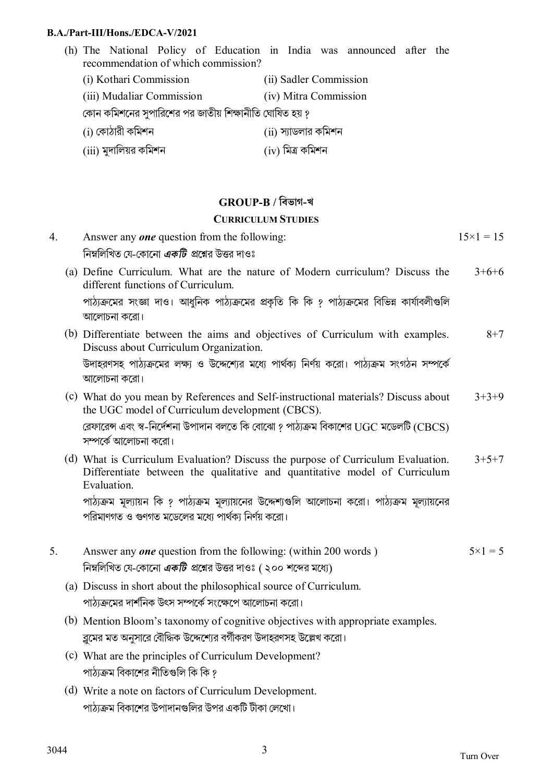- (h) The National Policy of Education in India was announced after the recommendation of which commission?
	- (i) Kothari Commission (ii) Sadler Commission
	- (iii) Mudaliar Commission (iv) Mitra Commission

কোন কমিশনের সুপারিশের পর জাতীয় শিক্ষানীতি ঘোষিত হয় ?

- $(i)$  কোঠারী কমিশন  $(ii)$  স্যাডলার কমিশন
- $(iii)$  মুদালিয়র কমিশন  $(iv)$  মিত্র কমিশন

## **GROUP-B / িবভাগ-খ**

#### **CURRICULUM STUDIES**

| 4. | Answer any <b>one</b> question from the following:                                                                                                                            | $15 \times 1 = 15$ |
|----|-------------------------------------------------------------------------------------------------------------------------------------------------------------------------------|--------------------|
|    | নিম্নলিখিত যে-কোনো <i>একটি প্র</i> শ্নের উত্তর দাওঃ                                                                                                                           |                    |
|    | (a) Define Curriculum. What are the nature of Modern curriculum? Discuss the<br>different functions of Curriculum.                                                            | $3+6+6$            |
|    | পাঠ্যক্রমের সংজ্ঞা দাও। আধুনিক পাঠ্যক্রমের প্রকৃতি কি কি ? পাঠ্যক্রমের বিভিন্ন কার্যাবলীগুলি<br>আলোচনা করো।                                                                   |                    |
|    | (b) Differentiate between the aims and objectives of Curriculum with examples.<br>Discuss about Curriculum Organization.                                                      | $8 + 7$            |
|    | উদাহরণসহ পাঠ্যক্রমের লক্ষ্য ও উদ্দেশ্যের মধ্যে পার্থক্য নির্ণয় করো। পাঠ্যক্রম সংগঠন সম্পর্কে<br>আলোচনা করো।                                                                  |                    |
|    | (c) What do you mean by References and Self-instructional materials? Discuss about<br>the UGC model of Curriculum development (CBCS).                                         | $3+3+9$            |
|    | রেফারেন্স এবং স্ব-নির্দেশনা উপাদান বলতে কি বোঝো ? পাঠ্যক্রম বিকাশের UGC মডেলটি (CBCS)<br>সম্পর্কে আলোচনা করো।                                                                 |                    |
|    | (d) What is Curriculum Evaluation? Discuss the purpose of Curriculum Evaluation.<br>Differentiate between the qualitative and quantitative model of Curriculum<br>Evaluation. | $3+5+7$            |
|    | পাঠ্যক্রম মূল্যায়ন কি ? পাঠ্যক্রম মূল্যায়নের উদ্দেশ্যগুলি আলোচনা করো। পাঠ্যক্রম মূল্যায়নের<br>পরিমাণগত ও গুণগত মডেলের মধ্যে পার্থক্য নির্ণয় করো।                          |                    |
| 5. | Answer any <i>one</i> question from the following: (within 200 words)                                                                                                         | $5 \times 1 = 5$   |
|    | নিম্নলিখিত যে-কোনো <i>একটি প্র</i> শ্নের উত্তর দাওঃ ( ২০০ শব্দের মধ্যে)                                                                                                       |                    |
|    | (a) Discuss in short about the philosophical source of Curriculum.                                                                                                            |                    |
|    | পাঠ্যক্রমের দার্শনিক উৎস সম্পর্কে সংক্ষেপে আলোচনা করো।                                                                                                                        |                    |
|    | (b) Mention Bloom's taxonomy of cognitive objectives with appropriate examples.                                                                                               |                    |
|    | ব্লুমের মত অনুসারে বৌদ্ধিক উদ্দেশ্যের বর্গীকরণ উদাহরণসহ উল্লেখ করো।                                                                                                           |                    |
|    | (c) What are the principles of Curriculum Development?                                                                                                                        |                    |
|    | পাঠ্যক্রম বিকাশের নীতিগুলি কি কি ?                                                                                                                                            |                    |
|    | (d) Write a note on factors of Curriculum Development.                                                                                                                        |                    |
|    | পাঠ্যক্রম বিকাশের উপাদানগুলির উপর একটি টীকা লেখো।                                                                                                                             |                    |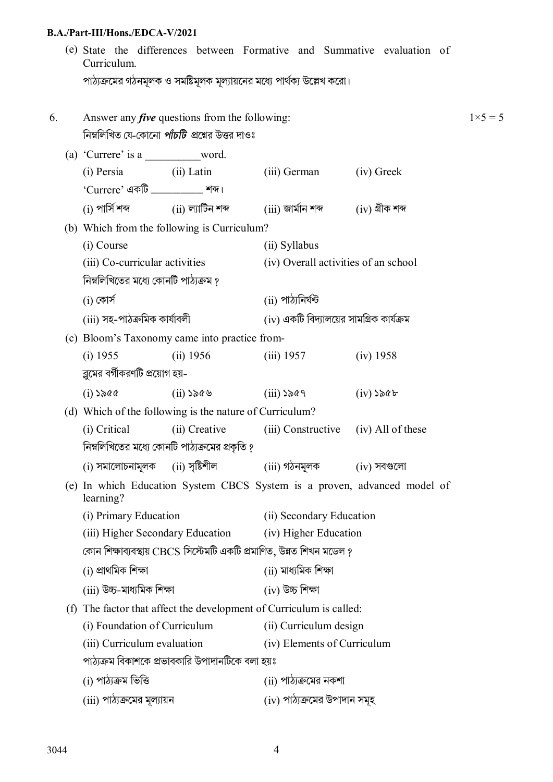|                                                                     | Curriculum.                                                          |               |                                                                                                                                                                                                                                                                                |                                                                                                                                                                                                                                                                                                                                                                                                                    |                                                                                                                                                                                                                                                                                                                                                                                                                                                                                                                                                                                          |  |
|---------------------------------------------------------------------|----------------------------------------------------------------------|---------------|--------------------------------------------------------------------------------------------------------------------------------------------------------------------------------------------------------------------------------------------------------------------------------|--------------------------------------------------------------------------------------------------------------------------------------------------------------------------------------------------------------------------------------------------------------------------------------------------------------------------------------------------------------------------------------------------------------------|------------------------------------------------------------------------------------------------------------------------------------------------------------------------------------------------------------------------------------------------------------------------------------------------------------------------------------------------------------------------------------------------------------------------------------------------------------------------------------------------------------------------------------------------------------------------------------------|--|
|                                                                     |                                                                      |               |                                                                                                                                                                                                                                                                                |                                                                                                                                                                                                                                                                                                                                                                                                                    |                                                                                                                                                                                                                                                                                                                                                                                                                                                                                                                                                                                          |  |
|                                                                     |                                                                      |               |                                                                                                                                                                                                                                                                                |                                                                                                                                                                                                                                                                                                                                                                                                                    | $1 \times 5 = 5$                                                                                                                                                                                                                                                                                                                                                                                                                                                                                                                                                                         |  |
|                                                                     |                                                                      |               |                                                                                                                                                                                                                                                                                |                                                                                                                                                                                                                                                                                                                                                                                                                    |                                                                                                                                                                                                                                                                                                                                                                                                                                                                                                                                                                                          |  |
|                                                                     |                                                                      |               |                                                                                                                                                                                                                                                                                | (iv) Greek                                                                                                                                                                                                                                                                                                                                                                                                         |                                                                                                                                                                                                                                                                                                                                                                                                                                                                                                                                                                                          |  |
|                                                                     |                                                                      |               |                                                                                                                                                                                                                                                                                |                                                                                                                                                                                                                                                                                                                                                                                                                    |                                                                                                                                                                                                                                                                                                                                                                                                                                                                                                                                                                                          |  |
|                                                                     |                                                                      |               |                                                                                                                                                                                                                                                                                |                                                                                                                                                                                                                                                                                                                                                                                                                    |                                                                                                                                                                                                                                                                                                                                                                                                                                                                                                                                                                                          |  |
|                                                                     | (i) Course                                                           |               | (ii) Syllabus                                                                                                                                                                                                                                                                  |                                                                                                                                                                                                                                                                                                                                                                                                                    |                                                                                                                                                                                                                                                                                                                                                                                                                                                                                                                                                                                          |  |
|                                                                     |                                                                      |               |                                                                                                                                                                                                                                                                                |                                                                                                                                                                                                                                                                                                                                                                                                                    |                                                                                                                                                                                                                                                                                                                                                                                                                                                                                                                                                                                          |  |
|                                                                     | নিম্নলিখিতের মধ্যে কোনটি পাঠ্যক্রম ?                                 |               |                                                                                                                                                                                                                                                                                |                                                                                                                                                                                                                                                                                                                                                                                                                    |                                                                                                                                                                                                                                                                                                                                                                                                                                                                                                                                                                                          |  |
|                                                                     | $(i)$ কোর্স                                                          |               | $(i)$ পাঠ্যনিৰ্ঘন্ট                                                                                                                                                                                                                                                            |                                                                                                                                                                                                                                                                                                                                                                                                                    |                                                                                                                                                                                                                                                                                                                                                                                                                                                                                                                                                                                          |  |
|                                                                     |                                                                      |               |                                                                                                                                                                                                                                                                                |                                                                                                                                                                                                                                                                                                                                                                                                                    |                                                                                                                                                                                                                                                                                                                                                                                                                                                                                                                                                                                          |  |
|                                                                     |                                                                      |               |                                                                                                                                                                                                                                                                                |                                                                                                                                                                                                                                                                                                                                                                                                                    |                                                                                                                                                                                                                                                                                                                                                                                                                                                                                                                                                                                          |  |
|                                                                     | $(i)$ 1955                                                           | (ii) 1956     |                                                                                                                                                                                                                                                                                | (iv) 1958                                                                                                                                                                                                                                                                                                                                                                                                          |                                                                                                                                                                                                                                                                                                                                                                                                                                                                                                                                                                                          |  |
|                                                                     |                                                                      |               |                                                                                                                                                                                                                                                                                |                                                                                                                                                                                                                                                                                                                                                                                                                    |                                                                                                                                                                                                                                                                                                                                                                                                                                                                                                                                                                                          |  |
|                                                                     | $(i)$ ১৯৫৫                                                           | $(ii)$ ১৯৫৬   |                                                                                                                                                                                                                                                                                | $(iv)$ ১৯৫৮                                                                                                                                                                                                                                                                                                                                                                                                        |                                                                                                                                                                                                                                                                                                                                                                                                                                                                                                                                                                                          |  |
|                                                                     |                                                                      |               |                                                                                                                                                                                                                                                                                |                                                                                                                                                                                                                                                                                                                                                                                                                    |                                                                                                                                                                                                                                                                                                                                                                                                                                                                                                                                                                                          |  |
|                                                                     | (i) Critical                                                         | (ii) Creative |                                                                                                                                                                                                                                                                                |                                                                                                                                                                                                                                                                                                                                                                                                                    |                                                                                                                                                                                                                                                                                                                                                                                                                                                                                                                                                                                          |  |
|                                                                     |                                                                      |               |                                                                                                                                                                                                                                                                                |                                                                                                                                                                                                                                                                                                                                                                                                                    |                                                                                                                                                                                                                                                                                                                                                                                                                                                                                                                                                                                          |  |
|                                                                     |                                                                      |               |                                                                                                                                                                                                                                                                                |                                                                                                                                                                                                                                                                                                                                                                                                                    |                                                                                                                                                                                                                                                                                                                                                                                                                                                                                                                                                                                          |  |
|                                                                     | learning?                                                            |               |                                                                                                                                                                                                                                                                                |                                                                                                                                                                                                                                                                                                                                                                                                                    |                                                                                                                                                                                                                                                                                                                                                                                                                                                                                                                                                                                          |  |
|                                                                     | (i) Primary Education                                                |               | (ii) Secondary Education                                                                                                                                                                                                                                                       |                                                                                                                                                                                                                                                                                                                                                                                                                    |                                                                                                                                                                                                                                                                                                                                                                                                                                                                                                                                                                                          |  |
|                                                                     |                                                                      |               | (iv) Higher Education                                                                                                                                                                                                                                                          |                                                                                                                                                                                                                                                                                                                                                                                                                    |                                                                                                                                                                                                                                                                                                                                                                                                                                                                                                                                                                                          |  |
|                                                                     | কোন শিক্ষাব্যবস্থায় CBCS সিস্টেমটি একটি প্রমাণিত, উন্নত শিখন মডেল ? |               |                                                                                                                                                                                                                                                                                |                                                                                                                                                                                                                                                                                                                                                                                                                    |                                                                                                                                                                                                                                                                                                                                                                                                                                                                                                                                                                                          |  |
|                                                                     | (i) প্ৰাথমিক শিক্ষা                                                  |               | (ii) মাধ্যমিক শিক্ষা                                                                                                                                                                                                                                                           |                                                                                                                                                                                                                                                                                                                                                                                                                    |                                                                                                                                                                                                                                                                                                                                                                                                                                                                                                                                                                                          |  |
|                                                                     | (iii) উচ্চ-মাধ্যমিক শিক্ষা                                           |               | (iv) উচ্চ শিক্ষা                                                                                                                                                                                                                                                               |                                                                                                                                                                                                                                                                                                                                                                                                                    |                                                                                                                                                                                                                                                                                                                                                                                                                                                                                                                                                                                          |  |
| (f) The factor that affect the development of Curriculum is called: |                                                                      |               |                                                                                                                                                                                                                                                                                |                                                                                                                                                                                                                                                                                                                                                                                                                    |                                                                                                                                                                                                                                                                                                                                                                                                                                                                                                                                                                                          |  |
|                                                                     | (i) Foundation of Curriculum                                         |               | (ii) Curriculum design                                                                                                                                                                                                                                                         |                                                                                                                                                                                                                                                                                                                                                                                                                    |                                                                                                                                                                                                                                                                                                                                                                                                                                                                                                                                                                                          |  |
|                                                                     | (iii) Curriculum evaluation                                          |               | (iv) Elements of Curriculum                                                                                                                                                                                                                                                    |                                                                                                                                                                                                                                                                                                                                                                                                                    |                                                                                                                                                                                                                                                                                                                                                                                                                                                                                                                                                                                          |  |
|                                                                     |                                                                      |               |                                                                                                                                                                                                                                                                                |                                                                                                                                                                                                                                                                                                                                                                                                                    |                                                                                                                                                                                                                                                                                                                                                                                                                                                                                                                                                                                          |  |
|                                                                     | (i) পাঠ্যক্ৰম ভিত্তি                                                 |               |                                                                                                                                                                                                                                                                                |                                                                                                                                                                                                                                                                                                                                                                                                                    |                                                                                                                                                                                                                                                                                                                                                                                                                                                                                                                                                                                          |  |
|                                                                     |                                                                      |               |                                                                                                                                                                                                                                                                                |                                                                                                                                                                                                                                                                                                                                                                                                                    |                                                                                                                                                                                                                                                                                                                                                                                                                                                                                                                                                                                          |  |
|                                                                     |                                                                      |               | (a) 'Currere' is a ______________word.<br>(i) Persia (ii) Latin<br>'Currere' একটি <u>- কোন কাম।</u><br>(iii) Co-curricular activities<br>(iii) সহ-পাঠক্ৰমিক কাৰ্যাবলী<br>ব্লুমের বর্গীকরণটি প্রয়োগ হয়-<br>$(i)$ সমালোচনামূলক $(ii)$ সৃষ্টিশীল<br>(iii) পাঠ্যক্রমের মূল্যায়ন | Answer any <i>five</i> questions from the following:<br>নিম্নলিখিত যে-কোনো <i>পাঁচটি প্র</i> শ্নের উত্তর দাওঃ<br>(b) Which from the following is Curriculum?<br>(c) Bloom's Taxonomy came into practice from-<br>(d) Which of the following is the nature of Curriculum?<br>নিম্নলিখিতের মধ্যে কোনটি পাঠ্যক্রমের প্রকৃতি ?<br>(iii) Higher Secondary Education<br>পাঠ্যক্রম বিকাশকে প্রভাবকারি উপাদানটিকে বলা হয়ঃ | (e) State the differences between Formative and Summative evaluation of<br>পাঠ্যক্রমের গঠনমূলক ও সমষ্টিমূলক মূল্যায়নের মধ্যে পার্থক্য উল্লেখ করো।<br>(iii) German<br>$(i)$ পাৰ্সি শব্দ $(ii)$ ল্যাটিন শব্দ $(iii)$ জাৰ্মান শব্দ $(iv)$ গ্ৰীক শব্দ<br>(iv) Overall activities of an school<br>$(iv)$ একটি বিদ্যালয়ের সামগ্রিক কার্যক্রম<br>$(iii)$ 1957<br>$(iii)$ ১৯৫৭<br>(iii) Constructive (iv) All of these<br>(iii) গঠনমূলক<br>$(iv)$ সবগুলো<br>(e) In which Education System CBCS System is a proven, advanced model of<br>$(i)$ পাঠ্যক্রমের নকশা<br>(iv) পাঠ্যক্ৰমের উপাদান সমূহ |  |